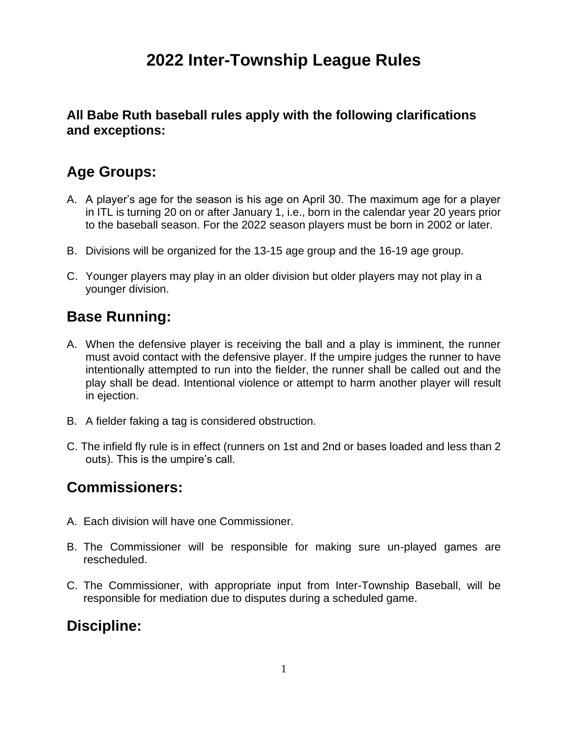# **2022 Inter-Township League Rules**

#### **All Babe Ruth baseball rules apply with the following clarifications and exceptions:**

## **Age Groups:**

- A. A player's age for the season is his age on April 30. The maximum age for a player in ITL is turning 20 on or after January 1, i.e., born in the calendar year 20 years prior to the baseball season. For the 2022 season players must be born in 2002 or later.
- B. Divisions will be organized for the 13-15 age group and the 16-19 age group.
- C. Younger players may play in an older division but older players may not play in a younger division.

## **Base Running:**

- A. When the defensive player is receiving the ball and a play is imminent, the runner must avoid contact with the defensive player. If the umpire judges the runner to have intentionally attempted to run into the fielder, the runner shall be called out and the play shall be dead. Intentional violence or attempt to harm another player will result in ejection.
- B. A fielder faking a tag is considered obstruction.
- C. The infield fly rule is in effect (runners on 1st and 2nd or bases loaded and less than 2 outs). This is the umpire's call.

#### **Commissioners:**

- A. Each division will have one Commissioner.
- B. The Commissioner will be responsible for making sure un-played games are rescheduled.
- C. The Commissioner, with appropriate input from Inter-Township Baseball, will be responsible for mediation due to disputes during a scheduled game.

#### **Discipline:**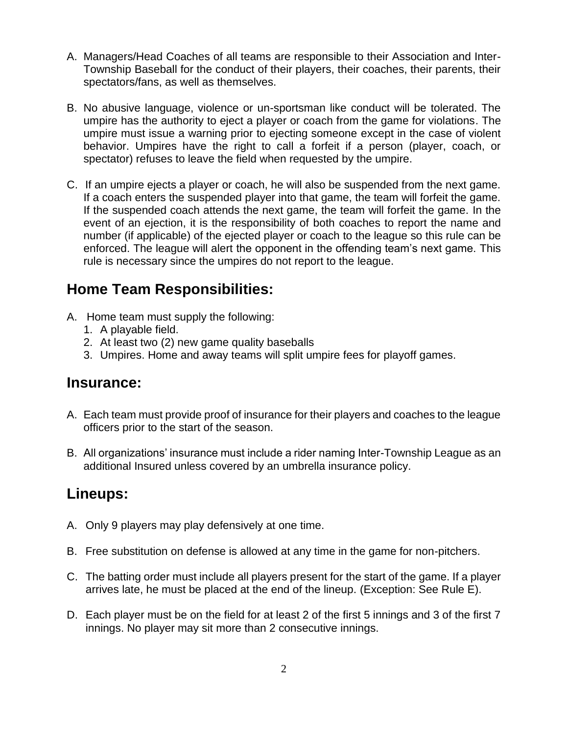- A. Managers/Head Coaches of all teams are responsible to their Association and Inter-Township Baseball for the conduct of their players, their coaches, their parents, their spectators/fans, as well as themselves.
- B. No abusive language, violence or un-sportsman like conduct will be tolerated. The umpire has the authority to eject a player or coach from the game for violations. The umpire must issue a warning prior to ejecting someone except in the case of violent behavior. Umpires have the right to call a forfeit if a person (player, coach, or spectator) refuses to leave the field when requested by the umpire.
- C. If an umpire ejects a player or coach, he will also be suspended from the next game. If a coach enters the suspended player into that game, the team will forfeit the game. If the suspended coach attends the next game, the team will forfeit the game. In the event of an ejection, it is the responsibility of both coaches to report the name and number (if applicable) of the ejected player or coach to the league so this rule can be enforced. The league will alert the opponent in the offending team's next game. This rule is necessary since the umpires do not report to the league.

### **Home Team Responsibilities:**

- A. Home team must supply the following:
	- 1. A playable field.
	- 2. At least two (2) new game quality baseballs
	- 3. Umpires. Home and away teams will split umpire fees for playoff games.

#### **Insurance:**

- A. Each team must provide proof of insurance for their players and coaches to the league officers prior to the start of the season.
- B. All organizations' insurance must include a rider naming Inter-Township League as an additional Insured unless covered by an umbrella insurance policy.

#### **Lineups:**

- A. Only 9 players may play defensively at one time.
- B. Free substitution on defense is allowed at any time in the game for non-pitchers.
- C. The batting order must include all players present for the start of the game. If a player arrives late, he must be placed at the end of the lineup. (Exception: See Rule E).
- D. Each player must be on the field for at least 2 of the first 5 innings and 3 of the first 7 innings. No player may sit more than 2 consecutive innings.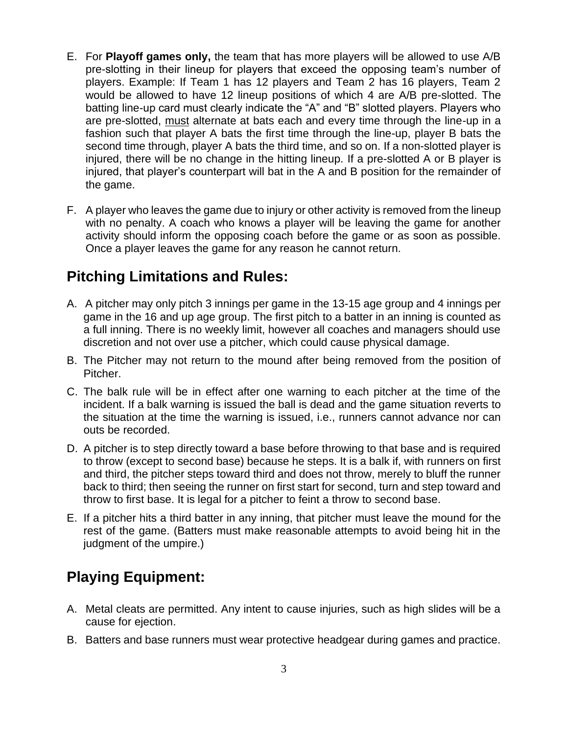- E. For **Playoff games only,** the team that has more players will be allowed to use A/B pre-slotting in their lineup for players that exceed the opposing team's number of players. Example: If Team 1 has 12 players and Team 2 has 16 players, Team 2 would be allowed to have 12 lineup positions of which 4 are A/B pre-slotted. The batting line-up card must clearly indicate the "A" and "B" slotted players. Players who are pre-slotted, must alternate at bats each and every time through the line-up in a fashion such that player A bats the first time through the line-up, player B bats the second time through, player A bats the third time, and so on. If a non-slotted player is injured, there will be no change in the hitting lineup. If a pre-slotted A or B player is injured, that player's counterpart will bat in the A and B position for the remainder of the game.
- F. A player who leaves the game due to injury or other activity is removed from the lineup with no penalty. A coach who knows a player will be leaving the game for another activity should inform the opposing coach before the game or as soon as possible. Once a player leaves the game for any reason he cannot return.

### **Pitching Limitations and Rules:**

- A. A pitcher may only pitch 3 innings per game in the 13-15 age group and 4 innings per game in the 16 and up age group. The first pitch to a batter in an inning is counted as a full inning. There is no weekly limit, however all coaches and managers should use discretion and not over use a pitcher, which could cause physical damage.
- B. The Pitcher may not return to the mound after being removed from the position of Pitcher.
- C. The balk rule will be in effect after one warning to each pitcher at the time of the incident. If a balk warning is issued the ball is dead and the game situation reverts to the situation at the time the warning is issued, i.e., runners cannot advance nor can outs be recorded.
- D. A pitcher is to step directly toward a base before throwing to that base and is required to throw (except to second base) because he steps. It is a balk if, with runners on first and third, the pitcher steps toward third and does not throw, merely to bluff the runner back to third; then seeing the runner on first start for second, turn and step toward and throw to first base. It is legal for a pitcher to feint a throw to second base.
- E. If a pitcher hits a third batter in any inning, that pitcher must leave the mound for the rest of the game. (Batters must make reasonable attempts to avoid being hit in the judgment of the umpire.)

## **Playing Equipment:**

- A. Metal cleats are permitted. Any intent to cause injuries, such as high slides will be a cause for ejection.
- B. Batters and base runners must wear protective headgear during games and practice.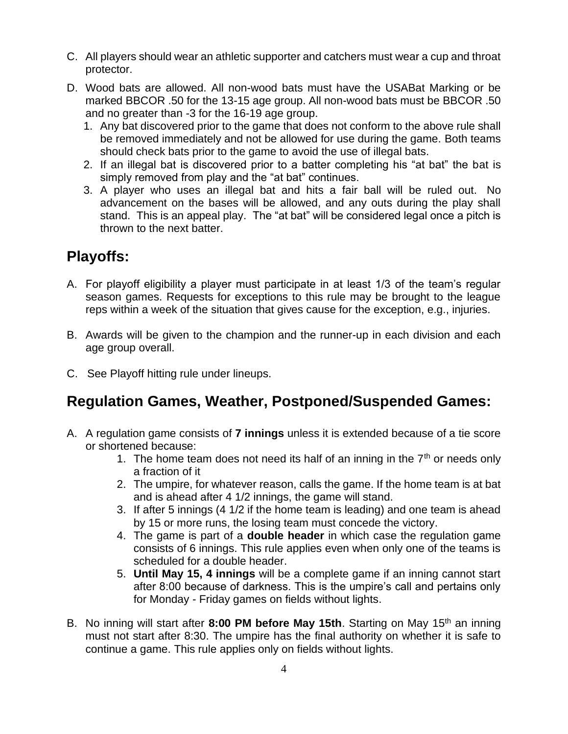- C. All players should wear an athletic supporter and catchers must wear a cup and throat protector.
- D. Wood bats are allowed. All non-wood bats must have the USABat Marking or be marked BBCOR .50 for the 13-15 age group. All non-wood bats must be BBCOR .50 and no greater than -3 for the 16-19 age group.
	- 1. Any bat discovered prior to the game that does not conform to the above rule shall be removed immediately and not be allowed for use during the game. Both teams should check bats prior to the game to avoid the use of illegal bats.
	- 2. If an illegal bat is discovered prior to a batter completing his "at bat" the bat is simply removed from play and the "at bat" continues.
	- 3. A player who uses an illegal bat and hits a fair ball will be ruled out. No advancement on the bases will be allowed, and any outs during the play shall stand. This is an appeal play. The "at bat" will be considered legal once a pitch is thrown to the next batter.

## **Playoffs:**

- A. For playoff eligibility a player must participate in at least 1/3 of the team's regular season games. Requests for exceptions to this rule may be brought to the league reps within a week of the situation that gives cause for the exception, e.g., injuries.
- B. Awards will be given to the champion and the runner-up in each division and each age group overall.
- C. See Playoff hitting rule under lineups.

## **Regulation Games, Weather, Postponed/Suspended Games:**

- A. A regulation game consists of **7 innings** unless it is extended because of a tie score or shortened because:
	- 1. The home team does not need its half of an inning in the  $7<sup>th</sup>$  or needs only a fraction of it
	- 2. The umpire, for whatever reason, calls the game. If the home team is at bat and is ahead after 4 1/2 innings, the game will stand.
	- 3. If after 5 innings (4 1/2 if the home team is leading) and one team is ahead by 15 or more runs, the losing team must concede the victory.
	- 4. The game is part of a **double header** in which case the regulation game consists of 6 innings. This rule applies even when only one of the teams is scheduled for a double header.
	- 5. **Until May 15, 4 innings** will be a complete game if an inning cannot start after 8:00 because of darkness. This is the umpire's call and pertains only for Monday - Friday games on fields without lights.
- B. No inning will start after 8:00 PM before May 15th. Starting on May 15<sup>th</sup> an inning must not start after 8:30. The umpire has the final authority on whether it is safe to continue a game. This rule applies only on fields without lights.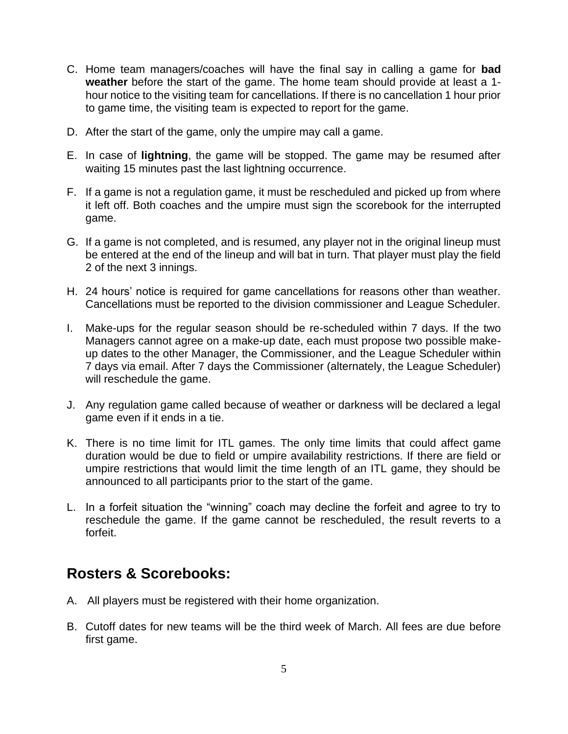- C. Home team managers/coaches will have the final say in calling a game for **bad weather** before the start of the game. The home team should provide at least a 1 hour notice to the visiting team for cancellations. If there is no cancellation 1 hour prior to game time, the visiting team is expected to report for the game.
- D. After the start of the game, only the umpire may call a game.
- E. In case of **lightning**, the game will be stopped. The game may be resumed after waiting 15 minutes past the last lightning occurrence.
- F. If a game is not a regulation game, it must be rescheduled and picked up from where it left off. Both coaches and the umpire must sign the scorebook for the interrupted game.
- G. If a game is not completed, and is resumed, any player not in the original lineup must be entered at the end of the lineup and will bat in turn. That player must play the field 2 of the next 3 innings.
- H. 24 hours' notice is required for game cancellations for reasons other than weather. Cancellations must be reported to the division commissioner and League Scheduler.
- I. Make-ups for the regular season should be re-scheduled within 7 days. If the two Managers cannot agree on a make-up date, each must propose two possible makeup dates to the other Manager, the Commissioner, and the League Scheduler within 7 days via email. After 7 days the Commissioner (alternately, the League Scheduler) will reschedule the game.
- J. Any regulation game called because of weather or darkness will be declared a legal game even if it ends in a tie.
- K. There is no time limit for ITL games. The only time limits that could affect game duration would be due to field or umpire availability restrictions. If there are field or umpire restrictions that would limit the time length of an ITL game, they should be announced to all participants prior to the start of the game.
- L. In a forfeit situation the "winning" coach may decline the forfeit and agree to try to reschedule the game. If the game cannot be rescheduled, the result reverts to a forfeit.

#### **Rosters & Scorebooks:**

- A. All players must be registered with their home organization.
- B. Cutoff dates for new teams will be the third week of March. All fees are due before first game.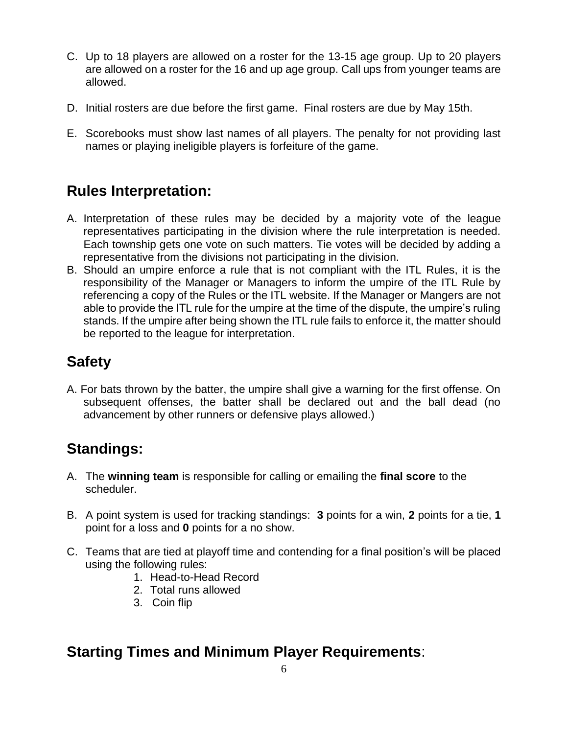- C. Up to 18 players are allowed on a roster for the 13-15 age group. Up to 20 players are allowed on a roster for the 16 and up age group. Call ups from younger teams are allowed.
- D. Initial rosters are due before the first game. Final rosters are due by May 15th.
- E. Scorebooks must show last names of all players. The penalty for not providing last names or playing ineligible players is forfeiture of the game.

## **Rules Interpretation:**

- A. Interpretation of these rules may be decided by a majority vote of the league representatives participating in the division where the rule interpretation is needed. Each township gets one vote on such matters. Tie votes will be decided by adding a representative from the divisions not participating in the division.
- B. Should an umpire enforce a rule that is not compliant with the ITL Rules, it is the responsibility of the Manager or Managers to inform the umpire of the ITL Rule by referencing a copy of the Rules or the ITL website. If the Manager or Mangers are not able to provide the ITL rule for the umpire at the time of the dispute, the umpire's ruling stands. If the umpire after being shown the ITL rule fails to enforce it, the matter should be reported to the league for interpretation.

## **Safety**

A. For bats thrown by the batter, the umpire shall give a warning for the first offense. On subsequent offenses, the batter shall be declared out and the ball dead (no advancement by other runners or defensive plays allowed.)

## **Standings:**

- A. The **winning team** is responsible for calling or emailing the **final score** to the scheduler.
- B. A point system is used for tracking standings: **3** points for a win, **2** points for a tie, **1** point for a loss and **0** points for a no show.
- C. Teams that are tied at playoff time and contending for a final position's will be placed using the following rules:
	- 1. Head-to-Head Record
	- 2. Total runs allowed
	- 3. Coin flip

#### **Starting Times and Minimum Player Requirements**: